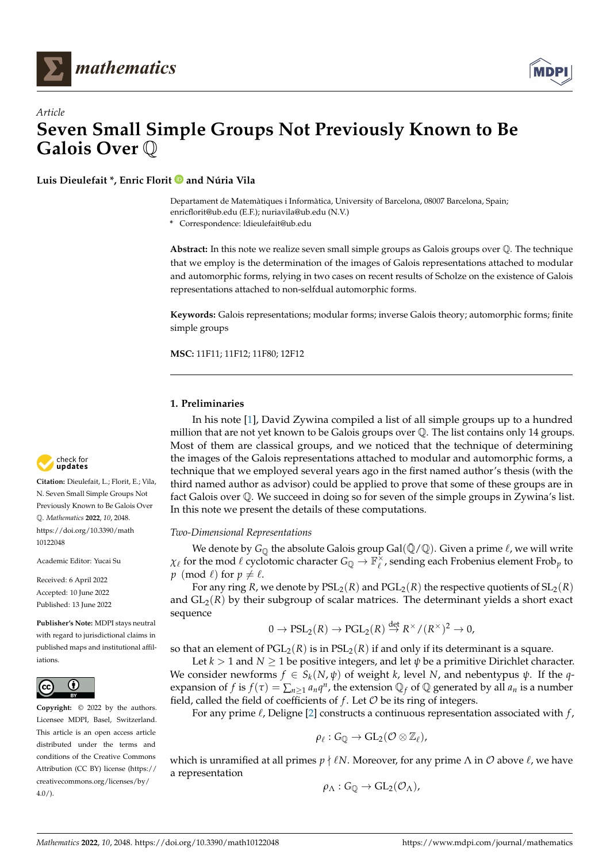



# *Article* **Seven Small Simple Groups Not Previously Known to Be Galois Over** Q

**Luis Dieulefait \*, Enric Florit and Núria Vila**

Departament de Matemàtiques i Informàtica, University of Barcelona, 08007 Barcelona, Spain; enricflorit@ub.edu (E.F.); nuriavila@ub.edu (N.V.)

**\*** Correspondence: ldieulefait@ub.edu

**Abstract:** In this note we realize seven small simple groups as Galois groups over Q. The technique that we employ is the determination of the images of Galois representations attached to modular and automorphic forms, relying in two cases on recent results of Scholze on the existence of Galois representations attached to non-selfdual automorphic forms.

**Keywords:** Galois representations; modular forms; inverse Galois theory; automorphic forms; finite simple groups

**MSC:** 11F11; 11F12; 11F80; 12F12

### **1. Preliminaries**

In his note [\[1\]](#page-8-0), David Zywina compiled a list of all simple groups up to a hundred million that are not yet known to be Galois groups over Q. The list contains only 14 groups. Most of them are classical groups, and we noticed that the technique of determining the images of the Galois representations attached to modular and automorphic forms, a technique that we employed several years ago in the first named author's thesis (with the third named author as advisor) could be applied to prove that some of these groups are in fact Galois over Q. We succeed in doing so for seven of the simple groups in Zywina's list. In this note we present the details of these computations.

### *Two-Dimensional Representations*

We denote by  $G_{\mathbb{O}}$  the absolute Galois group Gal( $\bar{\mathbb{Q}}/\mathbb{Q}$ ). Given a prime  $\ell$ , we will write  $\chi_{\ell}$  for the mod  $\ell$  cyclotomic character  $G_Q \to \mathbb{F}_\ell^{\times}$ , sending each Frobenius element Frob<sub>*p*</sub> to *p* (mod  $\ell$ ) for  $p \neq \ell$ .

For any ring *R*, we denote by  $PSL_2(R)$  and  $PGL_2(R)$  the respective quotients of  $SL_2(R)$ and  $GL_2(R)$  by their subgroup of scalar matrices. The determinant yields a short exact sequence

$$
0 \to \mathrm{PSL}_2(R) \to \mathrm{PGL}_2(R) \stackrel{\text{det}}{\to} R^\times / (R^\times)^2 \to 0,
$$

so that an element of  $PGL_2(R)$  is in  $PSL_2(R)$  if and only if its determinant is a square.

Let  $k > 1$  and  $N \geq 1$  be positive integers, and let  $\psi$  be a primitive Dirichlet character. We consider newforms  $f \in S_k(N, \psi)$  of weight *k*, level *N*, and nebentypus  $\psi$ . If the *q*expansion of *f* is  $f(\tau) = \sum_{n \geq 1} a_n q^n$ , the extension  $\mathbb{Q}_f$  of  $\mathbb{Q}$  generated by all  $a_n$  is a number field, called the field of coefficients of  $f$ . Let  $\mathcal O$  be its ring of integers.

For any prime  $\ell$ , Deligne [\[2\]](#page-8-1) constructs a continuous representation associated with  $f$ ,

$$
\rho_\ell:G_{\mathbb{Q}}\rightarrow GL_2(\mathcal{O}\otimes\mathbb{Z}_\ell),
$$

which is unramified at all primes  $p \nmid \ell N$ . Moreover, for any prime  $\Lambda$  in  $\mathcal O$  above  $\ell$ , we have a representation

$$
\rho_\Lambda:G_{\mathbb{Q}}\to GL_2(\mathcal{O}_\Lambda),
$$



**Citation:** Dieulefait, L.; Florit, E.; Vila, N. Seven Small Simple Groups Not Previously Known to Be Galois Over Q. *Mathematics* **2022**, *10*, 2048. [https://doi.org/10.3390/math](https://doi.org/10.3390/math10122048) [10122048](https://doi.org/10.3390/math10122048)

Academic Editor: Yucai Su

Received: 6 April 2022 Accepted: 10 June 2022 Published: 13 June 2022

**Publisher's Note:** MDPI stays neutral with regard to jurisdictional claims in published maps and institutional affiliations.



**Copyright:** © 2022 by the authors. Licensee MDPI, Basel, Switzerland. This article is an open access article distributed under the terms and conditions of the Creative Commons Attribution (CC BY) license [\(https://](https://creativecommons.org/licenses/by/4.0/) [creativecommons.org/licenses/by/](https://creativecommons.org/licenses/by/4.0/) 4.0/).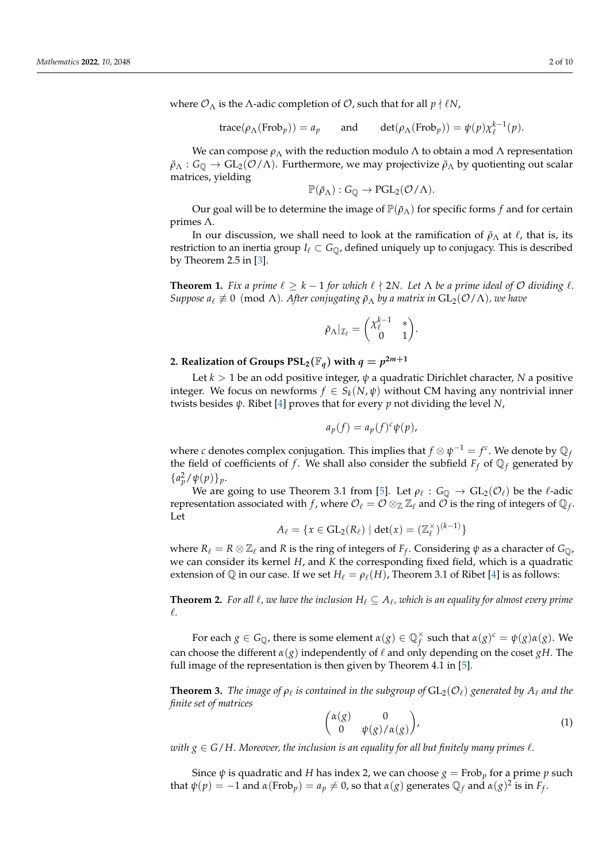where  $\mathcal{O}_{\Lambda}$  is the  $\Lambda$ -adic completion of  $\mathcal{O}$ , such that for all  $p \nmid \ell N$ ,

trace
$$
(\rho_{\Lambda}(\text{Frob}_p)) = a_p
$$
 and det $(\rho_{\Lambda}(\text{Frob}_p)) = \psi(p)\chi_{\ell}^{k-1}(p)$ .

We can compose  $ρ_Λ$  with the reduction modulo Λ to obtain a mod Λ representation  $\bar{\rho}_{\Lambda}: G_{\mathbb{Q}} \to GL_2(\mathcal{O}/\Lambda)$ . Furthermore, we may projectivize  $\bar{\rho}_{\Lambda}$  by quotienting out scalar matrices, yielding

$$
\mathbb{P}(\bar{\rho}_{\Lambda}): G_{\mathbb{Q}} \to PGL_2(\mathcal{O}/\Lambda).
$$

Our goal will be to determine the image of  $\mathbb{P}(\bar{\rho}_{\Lambda})$  for specific forms *f* and for certain primes Λ.

In our discussion, we shall need to look at the ramification of  $\bar{\rho}_{\Lambda}$  at  $\ell$ , that is, its restriction to an inertia group  $I_\ell \subset G_{\mathbb{Q}}$ , defined uniquely up to conjugacy. This is described by Theorem 2.5 in [\[3\]](#page-9-0).

<span id="page-1-3"></span>**Theorem 1.** *Fix a prime*  $\ell \geq k - 1$  *for which*  $\ell \nmid 2N$ . Let  $\Lambda$  *be a prime ideal of*  $\mathcal{O}$  *dividing*  $\ell$ *. Suppose*  $a_\ell \not\equiv 0 \pmod{\Lambda}$ *. After conjugating*  $\bar{\rho}_{\Lambda}$  *by a matrix in*  $GL_2(\mathcal{O}/\Lambda)$ *, we have* 

$$
\bar{\rho}_{\Lambda}|_{\mathcal{I}_{\ell}} = \begin{pmatrix} \chi_{\ell}^{k-1} & * \\ 0 & 1 \end{pmatrix}.
$$

### 2. Realization of Groups  $\text{PSL}_2(\mathbb{F}_q)$  with  $q = p^{2m+1}$

Let *k* > 1 be an odd positive integer, *ψ* a quadratic Dirichlet character, *N* a positive integer. We focus on newforms  $f \in S_k(N, \psi)$  without CM having any nontrivial inner twists besides *ψ*. Ribet [\[4\]](#page-9-1) proves that for every *p* not dividing the level *N*,

$$
a_p(f) = a_p(f)^c \psi(p),
$$

where  $c$  denotes complex conjugation. This implies that  $f \otimes \psi^{-1} = f^c.$  We denote by  $\mathbb{Q}_f$ the field of coefficients of *f*. We shall also consider the subfield  $F_f$  of  $\mathbb{Q}_f$  generated by  ${a_p^2/\psi(p)}_p$ .

We are going to use Theorem 3.1 from [\[5\]](#page-9-2). Let  $\rho_\ell : G_{\mathbb{Q}} \to GL_2(\mathcal{O}_\ell)$  be the  $\ell$ -adic representation associated with  $f$ , where  $\mathcal{O}_\ell=\mathcal{O}\otimes_\mathbb{Z}\mathbb{Z}_\ell$  and  $\mathcal O$  is the ring of integers of  $\mathbb{Q}_f$ . Let

$$
A_{\ell} = \{x \in \mathrm{GL}_2(R_{\ell}) \mid \det(x) = (\mathbb{Z}_{\ell}^{\times})^{(k-1)}\}
$$

where  $R_\ell = R \otimes \mathbb{Z}_\ell$  and  $R$  is the ring of integers of  $F_f$ . Considering  $\psi$  as a character of  $G_{\mathbb{Q}}$ , we can consider its kernel *H*, and *K* the corresponding fixed field, which is a quadratic extension of  $\mathbb Q$  in our case. If we set  $H_\ell = \rho_\ell(H)$ , Theorem 3.1 of Ribet [\[4\]](#page-9-1) is as follows:

<span id="page-1-0"></span>**Theorem 2.** For all  $\ell$ , we have the inclusion  $H_\ell \subseteq A_\ell$ , which is an equality for almost every prime `*.*

For each  $g \in G_{\mathbb{Q}}$ , there is some element  $\alpha(g) \in \mathbb{Q}_f^\times$ *f* such that  $α(g)^c = ψ(g)α(g)$ . We can choose the different  $\alpha(g)$  independently of  $\ell$  and only depending on the coset *gH*. The full image of the representation is then given by Theorem 4.1 in [\[5\]](#page-9-2).

<span id="page-1-1"></span>**Theorem 3.** *The image of*  $\rho_\ell$  *is contained in the subgroup of*  $\mathrm{GL}_2(\mathcal{O}_\ell)$  *generated by*  $A_\ell$  *and the finite set of matrices*

<span id="page-1-2"></span>
$$
\begin{pmatrix} \alpha(g) & 0 \\ 0 & \psi(g)/\alpha(g) \end{pmatrix}, \tag{1}
$$

*with*  $g \in G/H$ . Moreover, the inclusion is an equality for all but finitely many primes  $\ell$ .

Since  $\psi$  is quadratic and *H* has index 2, we can choose  $g = \text{Frob}_p$  for a prime *p* such that  $\psi(p) = -1$  and  $\alpha(\text{Frob}_p) = a_p \neq 0$ , so that  $\alpha(g)$  generates  $\mathbb{Q}_f$  and  $\alpha(g)^2$  is in  $F_f$ .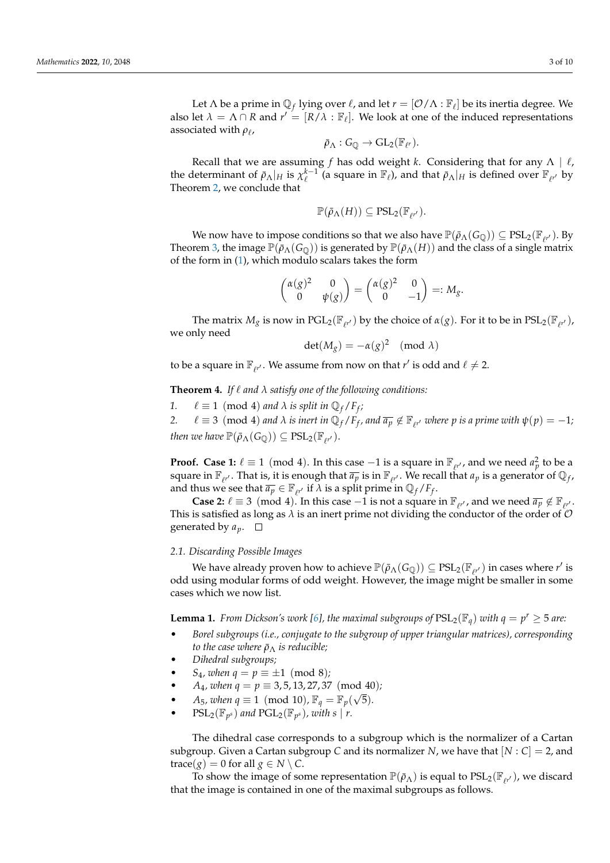Let  $\Lambda$  be a prime in  $\mathbb{Q}_f$  lying over  $\ell$ , and let  $r = [\mathcal{O}/\Lambda : \mathbb{F}_\ell]$  be its inertia degree. We also let  $\lambda = \Lambda \cap R$  and  $r' = [R/\lambda : \mathbb{F}_{\ell}]$ . We look at one of the induced representations associated with *ρ<sub>ℓ</sub>,* 

$$
\bar{\rho}_{\Lambda}:G_{\mathbb{Q}}\rightarrow GL_2(\mathbb{F}_{\ell^r}).
$$

Recall that we are assuming *f* has odd weight *k*. Considering that for any  $\Lambda \mid \ell$ , the determinant of  $\bar{\rho}_{\Lambda}|_H$  is  $\chi_{\ell}^{k-1}$  (a square in  $\mathbb{F}_{\ell}$ ), and that  $\bar{\rho}_{\Lambda}|_H$  is defined over  $\mathbb{F}_{\ell'}$  by Theorem [2,](#page-1-0) we conclude that

$$
\mathbb{P}(\bar{\rho}_{\Lambda}(H)) \subseteq \mathrm{PSL}_2(\mathbb{F}_{\ell^{r'}}).
$$

We now have to impose conditions so that we also have  $\mathbb{P}(\bar{\rho}_\Lambda(G_{\mathbb{Q}})) \subseteq \mathrm{PSL}_2(\mathbb{F}_{\ell^{r'}})$ . By Theorem [3,](#page-1-1) the image  $\mathbb{P}(\bar{\rho}_{\Lambda}(G_{\mathbb{Q}}))$  is generated by  $\mathbb{P}(\bar{\rho}_{\Lambda}(H))$  and the class of a single matrix of the form in [\(1\)](#page-1-2), which modulo scalars takes the form

$$
\begin{pmatrix} \alpha(g)^2 & 0 \\ 0 & \psi(g) \end{pmatrix} = \begin{pmatrix} \alpha(g)^2 & 0 \\ 0 & -1 \end{pmatrix} =: M_g.
$$

The matrix  $M_g$  is now in PGL<sub>2</sub>( $\mathbb{F}_{\ell^{r'}}$ ) by the choice of  $\alpha(g)$ . For it to be in  $PSL_2(\mathbb{F}_{\ell^{r'}})$ , we only need

$$
\det(M_g) = -\alpha(g)^2 \pmod{\lambda}
$$

to be a square in  $\mathbb{F}_{\ell^{r'}}$ . We assume from now on that  $r'$  is odd and  $\ell \neq 2$ .

<span id="page-2-0"></span>**Theorem 4.** If  $\ell$  and  $\lambda$  satisfy one of the following conditions:

*1.*  $\ell \equiv 1 \pmod{4}$  *and*  $\lambda$  *is split in*  $\mathbb{Q}_f / F_f$ ; *2.*  $\ell \equiv 3 \pmod{4}$  *and*  $\lambda$  *is inert in*  $\mathbb{Q}_f / F_f$ *, and*  $\overline{a_p} \notin \mathbb{F}_{\ell}$ *, where*  $p$  *is a prime with*  $\psi(p) = -1$ *; then we have*  $\mathbb{P}(\bar{\rho}_{\Lambda}(G_{\mathbb{Q}})) \subseteq \mathrm{PSL}_2(\mathbb{F}_{\ell^{r'}}).$ 

**Proof.** Case 1:  $\ell \equiv 1 \pmod{4}$ . In this case  $-1$  is a square in  $\mathbb{F}_{\ell^{r'}}$ , and we need  $a_p^2$  to be a square in  $\mathbb{F}_{\ell^{r'}}.$  That is, it is enough that  $\overline{a_p}$  is in  $\mathbb{F}_{\ell^{r'}}.$  We recall that  $a_p$  is a generator of  $\mathbb{Q}_f.$ and thus we see that  $\overline{a_p} \in \mathbb{F}_{\ell^{r'}}$  if  $\lambda$  is a split prime in  $\mathbb{Q}_f / F_f$ .

**Case 2:**  $\ell \equiv 3 \pmod{4}$ . In this case  $-1$  is not a square in  $\mathbb{F}_{\ell^{r'}}$ , and we need  $\overline{a_p} \notin \mathbb{F}_{\ell^{r'}}$ . This is satisfied as long as  $\lambda$  is an inert prime not dividing the conductor of the order of  $\mathcal O$ generated by  $a_p$ .  $\Box$ 

#### <span id="page-2-2"></span>*2.1. Discarding Possible Images*

We have already proven how to achieve  $\mathbb{P}(\bar{\rho}_{\Lambda}(G_{\mathbb{Q}})) \subseteq \mathrm{PSL}_2(\mathbb{F}_{\ell'}')$  in cases where  $r'$  is odd using modular forms of odd weight. However, the image might be smaller in some cases which we now list.

<span id="page-2-1"></span>**Lemma 1.** *From Dickson's work* [\[6\]](#page-9-3), the maximal subgroups of  $PSL_2(\mathbb{F}_q)$  with  $q = p^r \geq 5$  are:

- *Borel subgroups (i.e., conjugate to the subgroup of upper triangular matrices), corresponding to the case where*  $\bar{\rho}_{\Lambda}$  *is reducible;*
- *Dihedral subgroups;*
- *S*<sub>4</sub>*, when*  $q = p \equiv \pm 1 \pmod{8}$ ;
- *A*<sub>4</sub>*, when*  $q = p \equiv 3, 5, 13, 27, 37 \pmod{40}$ ;
- *A*<sub>5</sub>*, when*  $q \equiv 1 \pmod{10}$ ,  $\mathbb{F}_q = \mathbb{F}_p(\sqrt{5})$ *.*
- PSL<sub>2</sub>( $\mathbb{F}_{p^s}$ ) and PGL<sub>2</sub>( $\mathbb{F}_{p^s}$ ), with s | *r*.

The dihedral case corresponds to a subgroup which is the normalizer of a Cartan subgroup. Given a Cartan subgroup *C* and its normalizer *N*, we have that [*N* : *C*] = 2, and  $trace(g) = 0$  for all  $g \in N \setminus C$ .

To show the image of some representation  $\mathbb{P}(\bar{\rho}_{\Lambda})$  is equal to  $PSL_2(\mathbb{F}_{p'})$ , we discard that the image is contained in one of the maximal subgroups as follows.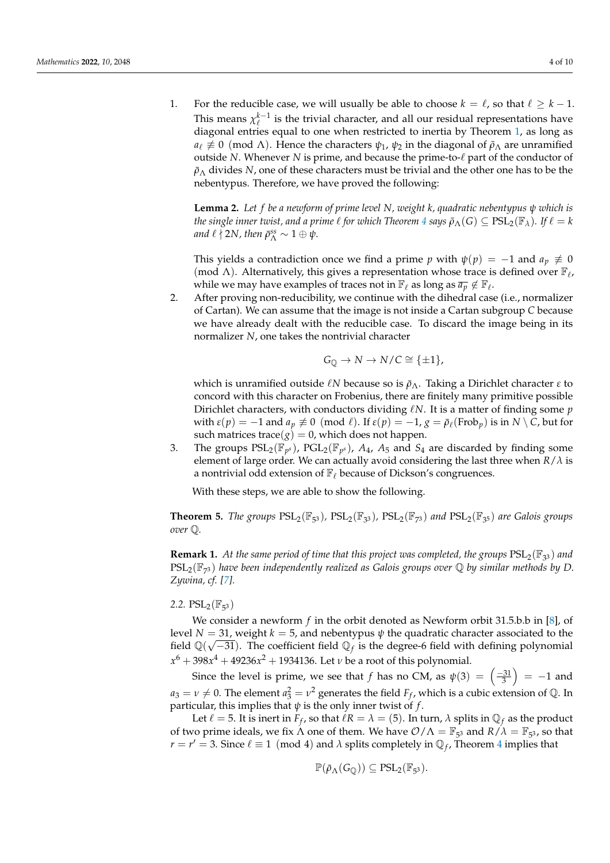1. For the reducible case, we will usually be able to choose  $k = \ell$ , so that  $\ell \geq k - 1$ . This means  $\chi_{\ell}^{k-1}$  is the trivial character, and all our residual representations have diagonal entries equal to one when restricted to inertia by Theorem [1,](#page-1-3) as long as *a*<sub> $\ell \neq 0$  (mod Λ). Hence the characters  $\psi_1$ ,  $\psi_2$  in the diagonal of  $\bar{\rho}_{\Lambda}$  are unramified</sub> outside *N*. Whenever *N* is prime, and because the prime-to- $\ell$  part of the conductor of  $\bar{p}_{\Lambda}$  divides *N*, one of these characters must be trivial and the other one has to be the nebentypus. Therefore, we have proved the following:

<span id="page-3-0"></span>**Lemma 2.** *Let f be a newform of prime level N, weight k, quadratic nebentypus ψ which is the single inner twist, and a prime*  $\ell$  *for which Theorem*  $4$  *says*  $\bar{p}_{\Lambda}(G) \subseteq \text{PSL}_2(\mathbb{F}_{\lambda})$ *. If*  $\ell = k$ *and*  $\ell \nmid 2N$ , then  $\bar{\rho}_{\Lambda}^{ss} \sim 1 \oplus \psi$ .

This yields a contradiction once we find a prime *p* with  $\psi(p) = -1$  and  $a_p \neq 0$ (mod Λ). Alternatively, this gives a representation whose trace is defined over  $\mathbb{F}_\ell$ , while we may have examples of traces not in  $\mathbb{F}_\ell$  as long as  $\overline{a_p} \notin \mathbb{F}_\ell$ .

2. After proving non-reducibility, we continue with the dihedral case (i.e., normalizer of Cartan). We can assume that the image is not inside a Cartan subgroup *C* because we have already dealt with the reducible case. To discard the image being in its normalizer *N*, one takes the nontrivial character

$$
G_{\mathbb{Q}} \to N \to N/C \cong \{\pm 1\},\
$$

which is unramified outside  $\ell N$  because so is  $\bar{ρ}_Λ$ . Taking a Dirichlet character *ε* to concord with this character on Frobenius, there are finitely many primitive possible Dirichlet characters, with conductors dividing  $\ell N$ . It is a matter of finding some *p* with  $\varepsilon(p) = -1$  and  $a_p \not\equiv 0 \pmod{\ell}$ . If  $\varepsilon(p) = -1$ ,  $g = \bar{\rho}_{\ell}(\text{Frob}_p)$  is in  $N \setminus C$ , but for such matrices trace( $g$ ) = 0, which does not happen.

3. The groups  $PSL_2(\mathbb{F}_{p^s})$ ,  $PGL_2(\mathbb{F}_{p^s})$ ,  $A_4$ ,  $A_5$  and  $S_4$  are discarded by finding some element of large order. We can actually avoid considering the last three when *R*/*λ* is a nontrivial odd extension of  $\mathbb{F}_{\ell}$  because of Dickson's congruences.

With these steps, we are able to show the following.

**Theorem 5.** *The groups*  $PSL_2(\mathbb{F}_{5^3})$ ,  $PSL_2(\mathbb{F}_{3^3})$ ,  $PSL_2(\mathbb{F}_{7^3})$  and  $PSL_2(\mathbb{F}_{3^5})$  are Galois groups *over* Q*.*

**Remark 1.** At the same period of time that this project was completed, the groups  $PSL_2(\mathbb{F}_{3^3})$  and PSL2(F<sup>7</sup> <sup>3</sup> ) *have been independently realized as Galois groups over* Q *by similar methods by D. Zywina, cf. [\[7\]](#page-9-4).*

2.2.  $PSL_2(\mathbb{F}_{5^3})$ 

We consider a newform *f* in the orbit denoted as Newform orbit 31.5.b.b in [\[8\]](#page-9-5), of level *N* = 31, weight *k* = 5, and nebentypus  $\psi$  the quadratic character associated to the field  $\mathbb{Q}(\sqrt{-31})$ . The coefficient field  $\mathbb{Q}_f$  is the degree-6 field with defining polynomial *x* <sup>6</sup> + 398*x* <sup>4</sup> + 49236*x* <sup>2</sup> + 1934136. Let *ν* be a root of this polynomial.

Since the level is prime, we see that *f* has no CM, as  $\psi(3) = \left(\frac{-31}{3}\right) = -1$  and  $a_3 = v \neq 0$ . The element  $a_3^2 = v^2$  generates the field  $F_f$ , which is a cubic extension of  $\mathbb Q$ . In particular, this implies that  $\psi$  is the only inner twist of  $f$ .

Let  $\ell = 5$ . It is inert in  $F_f$ , so that  $\ell R = \lambda = (5)$ . In turn,  $\lambda$  splits in  $\mathbb{Q}_f$  as the product of two prime ideals, we fix  $\Lambda$  one of them. We have  $\mathcal{O}/\Lambda = \mathbb{F}_{5^3}$  and  $R/\lambda = \mathbb{F}_{5^3}$ , so that  $r = r' = 3$ . Since  $\ell \equiv 1 \pmod{4}$  $\ell \equiv 1 \pmod{4}$  $\ell \equiv 1 \pmod{4}$  and  $\lambda$  splits completely in  $\mathbb{Q}_f$ , Theorem 4 implies that

$$
\mathbb{P}(\bar{\rho}_{\Lambda}(G_{\mathbb{Q}}))\subseteq PSL_2(\mathbb{F}_{5^3}).
$$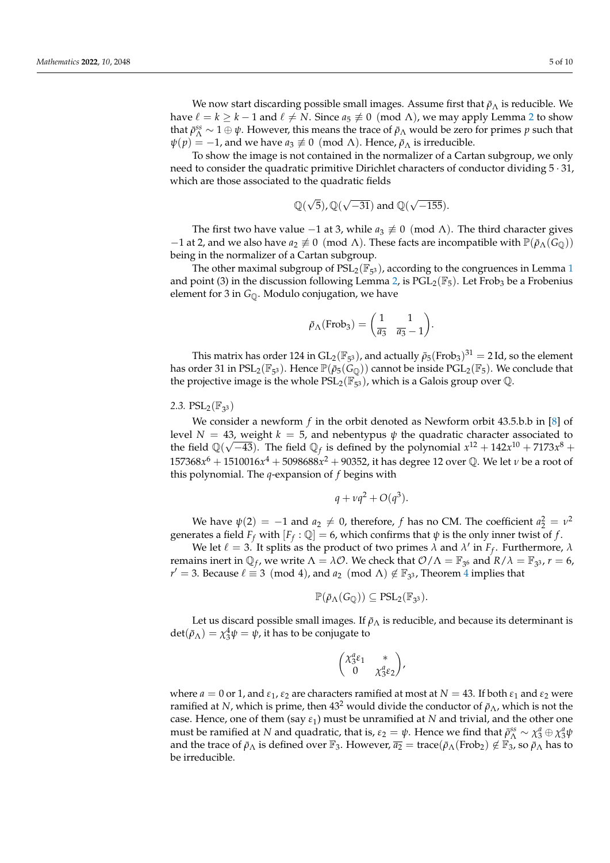We now start discarding possible small images. Assume first that  $\bar{\rho}_{\Lambda}$  is reducible. We have  $\ell = k \geq k - 1$  and  $\ell \neq N$ . Since  $a_5 \not\equiv 0 \pmod{\Lambda}$ , we may apply Lemma [2](#page-3-0) to show that  $\bar{\rho}_{\Lambda}^{ss} \sim 1 \oplus \psi$ . However, this means the trace of  $\bar{\rho}_{\Lambda}$  would be zero for primes *p* such that  $\psi(p) = -1$ , and we have  $a_3 \not\equiv 0 \pmod{\Lambda}$ . Hence,  $\bar{p}_\Lambda$  is irreducible.

To show the image is not contained in the normalizer of a Cartan subgroup, we only need to consider the quadratic primitive Dirichlet characters of conductor dividing  $5 \cdot 31$ , which are those associated to the quadratic fields

$$
\mathbb{Q}(\sqrt{5}), \mathbb{Q}(\sqrt{-31})
$$
 and  $\mathbb{Q}(\sqrt{-155}).$ 

The first two have value −1 at 3, while  $a_3 \not\equiv 0 \pmod{\Lambda}$ . The third character gives −1 at 2, and we also have  $a_2 \neq 0 \pmod{\Lambda}$ . These facts are incompatible with  $\mathbb{P}(\bar{\rho}_{\Lambda}(G_{\mathbb{Q}}))$ being in the normalizer of a Cartan subgroup.

The other maximal subgroup of  $PSL_2(\mathbb{F}_{5^3})$ , according to the congruences in Lemma [1](#page-2-1) and point (3) in the discussion following Lemma [2,](#page-3-0) is  $PGL_2(\mathbb{F}_5)$ . Let Frob<sub>3</sub> be a Frobenius element for 3 in  $G_{\mathbb{Q}}$ . Modulo conjugation, we have

$$
\bar{\rho}_{\Lambda}(\text{Frob}_3) = \begin{pmatrix} 1 & 1 \\ \overline{a_3} & \overline{a_3} - 1 \end{pmatrix}.
$$

This matrix has order 124 in  $GL_2(\mathbb{F}_{5^3})$ , and actually  $\bar{\rho}_5(\text{Frob}_3)^{31} = 2$  Id, so the element has order 31 in  $PSL_2(\mathbb{F}_{5^3})$ . Hence  $\mathbb{P}(\bar{\rho}_5(\tilde{G}_\mathbb{Q}))$  cannot be inside  $PGL_2(\mathbb{F}_5)$ . We conclude that the projective image is the whole  $PSL_2(\mathbb{F}_{5^3})$ , which is a Galois group over  $\mathbb{Q}$ .

2.3.  $PSL_2(\mathbb{F}_{3^3})$ 

We consider a newform *f* in the orbit denoted as Newform orbit 43.5.b.b in [\[8\]](#page-9-5) of level  $N = 43$ , weight  $k = 5$ , and nebentypus  $\psi$  the quadratic character associated to the field  $\mathbb{Q}(\sqrt{-43})$ . The field  $\mathbb{Q}_f$  is defined by the polynomial  $x^{12} + 142x^{10} + 7173x^8 +$ 157368*x* <sup>6</sup> + 1510016*x* <sup>4</sup> + 5098688*x* <sup>2</sup> + 90352, it has degree 12 over Q. We let *ν* be a root of this polynomial. The *q*-expansion of *f* begins with

$$
q + \nu q^2 + O(q^3).
$$

We have  $\psi(2) = -1$  and  $a_2 \neq 0$ , therefore, *f* has no CM. The coefficient  $a_2^2 = v^2$ generates a field  $F_f$  with  $[F_f : \mathbb{Q}] = 6$ , which confirms that  $\psi$  is the only inner twist of  $f$ .

We let  $\ell = 3$ . It splits as the product of two primes  $\lambda$  and  $\lambda'$  in  $F_f$ . Furthermore,  $\lambda$ remains inert in  $\mathbb{Q}_f$ , we write  $\Lambda = \lambda \mathcal{O}$ . We check that  $\mathcal{O}/\Lambda = \mathbb{F}_{3^6}$  and  $R/\lambda = \mathbb{F}_{3^3}$ ,  $r = 6$ , *r'* = 3. Because  $\ell \equiv 3 \pmod{4}$  $\ell \equiv 3 \pmod{4}$  $\ell \equiv 3 \pmod{4}$ , and  $a_2 \pmod{\Lambda} \notin \mathbb{F}_{3^3}$ , Theorem 4 implies that

$$
\mathbb{P}(\bar{\rho}_{\Lambda}(G_{\mathbb{Q}})) \subseteq PSL_2(\mathbb{F}_{3^3}).
$$

Let us discard possible small images. If  $\bar{p}_{\Lambda}$  is reducible, and because its determinant is  $\det(\bar{\rho}_{\Lambda}) = \chi_3^4 \psi = \psi$ , it has to be conjugate to

$$
\begin{pmatrix} \chi_3^a \varepsilon_1 & * \\ 0 & \chi_3^a \varepsilon_2 \end{pmatrix},
$$

where  $a = 0$  or 1, and  $\varepsilon_1$ ,  $\varepsilon_2$  are characters ramified at most at  $N = 43$ . If both  $\varepsilon_1$  and  $\varepsilon_2$  were ramified at *N*, which is prime, then  $43<sup>2</sup>$  would divide the conductor of  $\bar{p}_{\Lambda}$ , which is not the case. Hence, one of them (say *ε*1) must be unramified at *N* and trivial, and the other one must be ramified at *N* and quadratic, that is,  $\varepsilon_2 = \psi$ . Hence we find that  $\bar{\rho}_{\Lambda}^{ss} \sim \chi_3^a \oplus \chi_3^a \psi$ and the trace of  $\bar{\rho}_{\Lambda}$  is defined over  $\mathbb{F}_3$ . However,  $\bar{a_2}$  = trace( $\bar{\rho}_{\Lambda}$ (Frob<sub>2</sub>)  $\notin \mathbb{F}_3$ , so  $\bar{\rho}_{\Lambda}$  has to be irreducible.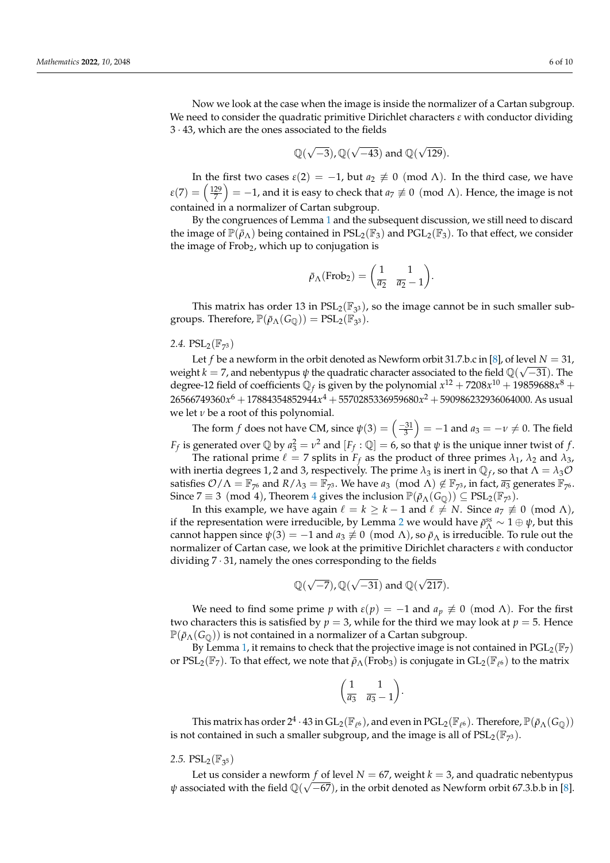Now we look at the case when the image is inside the normalizer of a Cartan subgroup. We need to consider the quadratic primitive Dirichlet characters *ε* with conductor dividing 3 · 43, which are the ones associated to the fields

$$
\mathbb{Q}(\sqrt{-3}), \mathbb{Q}(\sqrt{-43})
$$
 and  $\mathbb{Q}(\sqrt{129}).$ 

In the first two cases  $\varepsilon(2) = -1$ , but  $a_2 \neq 0 \pmod{\Lambda}$ . In the third case, we have  $\varepsilon(7)=\left(\frac{129}{7}\right)=-1$ , and it is easy to check that  $a_7\not\equiv 0\pmod\Lambda$ . Hence, the image is not contained in a normalizer of Cartan subgroup.

By the congruences of Lemma [1](#page-2-1) and the subsequent discussion, we still need to discard the image of  $\mathbb{P}(\bar{\rho}_{\Lambda})$  being contained in  $PSL_2(\mathbb{F}_3)$  and  $PGL_2(\mathbb{F}_3)$ . To that effect, we consider the image of  $Frob_2$ , which up to conjugation is

$$
\bar{\rho}_{\Lambda}(\text{Frob}_2) = \begin{pmatrix} 1 & 1 \\ \overline{a_2} & \overline{a_2} - 1 \end{pmatrix}.
$$

This matrix has order 13 in  $PSL_2(\mathbb{F}_{3^3})$ , so the image cannot be in such smaller subgroups. Therefore,  $\mathbb{P}(\bar{\rho}_{\Lambda}(G_{\mathbb{Q}})) = \text{PSL}_2(\mathbb{F}_{3^3})$ .

## 2.4.  $PSL_2(\mathbb{F}_{7^3})$

Let *f* be a newform in the orbit denoted as Newform orbit 31.7.b.c in [\[8\]](#page-9-5), of level  $N = 31$ , weight  $k=7$ , and nebentypus  $\psi$  the quadratic character associated to the field  $\mathbb{Q}(\sqrt{-31})$ . The degree-12 field of coefficients  $\mathbb{Q}_f$  is given by the polynomial  $x^{12} + 7208x^{10} + 19859688x^8 +$ 26566749360*x* <sup>6</sup> + 17884354852944*x* <sup>4</sup> + 5570285336959680*x* <sup>2</sup> + 590986232936064000. As usual we let  $\nu$  be a root of this polynomial.

The form *f* does not have CM, since  $\psi(3) = \left(\frac{-31}{3}\right) = -1$  and  $a_3 = -\nu \neq 0$ . The field *F*<sub>*f*</sub> is generated over  $\mathbb{Q}$  by  $a_3^2 = v^2$  and  $[F_f : \mathbb{Q}] = 6$ , so that  $\psi$  is the unique inner twist of *f*.

The rational prime  $\ell = 7$  splits in  $F_f$  as the product of three primes  $\lambda_1$ ,  $\lambda_2$  and  $\lambda_3$ , with inertia degrees 1, 2 and 3, respectively. The prime  $\lambda_3$  is inert in  $\mathbb{Q}_f$ , so that  $\Lambda = \lambda_3 \mathcal{O}$ satisfies  $\mathcal{O}/\Lambda = \mathbb{F}_{7^6}$  and  $R/\lambda_3 = \mathbb{F}_{7^3}$ . We have  $a_3$  (mod  $\Lambda$ )  $\not\in \mathbb{F}_{7^3}$ , in fact,  $\overline{a_3}$  generates  $\mathbb{F}_{7^6}$ . Since  $7 \equiv 3 \pmod{4}$  $7 \equiv 3 \pmod{4}$  $7 \equiv 3 \pmod{4}$ , Theorem 4 gives the inclusion  $\mathbb{P}(\bar{\rho}_{\Lambda}(G_{\mathbb{Q}})) \subseteq \text{PSL}_2(\mathbb{F}_{7^3})$ .

In this example, we have again  $\ell = k \geq k - 1$  and  $\ell \neq N$ . Since  $a_7 \not\equiv 0 \pmod{\Lambda}$ , if the representation were irreducible, by Lemma [2](#page-3-0) we would have  $\bar{\rho}_{\Lambda}^{ss} \sim 1 \oplus \psi$ , but this cannot happen since  $\psi(3) = -1$  and  $a_3 \not\equiv 0 \pmod{\Lambda}$ , so  $\bar{\rho}_{\Lambda}$  is irreducible. To rule out the normalizer of Cartan case, we look at the primitive Dirichlet characters *ε* with conductor dividing  $7 \cdot 31$ , namely the ones corresponding to the fields

$$
\mathbb{Q}(\sqrt{-7}), \mathbb{Q}(\sqrt{-31}) \text{ and } \mathbb{Q}(\sqrt{217}).
$$

We need to find some prime *p* with  $\varepsilon(p) = -1$  and  $a_p \neq 0 \pmod{\Lambda}$ . For the first two characters this is satisfied by  $p = 3$ , while for the third we may look at  $p = 5$ . Hence  $\mathbb{P}(\bar{\rho}_{\Lambda}(G_{\mathbb{O}}))$  is not contained in a normalizer of a Cartan subgroup.

By Lemma [1,](#page-2-1) it remains to check that the projective image is not contained in  $PGL_2(\mathbb{F}_7)$ or  $PSL_2(\mathbb{F}_7)$ . To that effect, we note that  $\bar{\rho}_{\Lambda}(\overline{Frob}_3)$  is conjugate in  $GL_2(\mathbb{F}_{\ell^6})$  to the matrix

$$
\left(\begin{matrix}1 & 1\\ \overline{a_3} & \overline{a_3}-1\end{matrix}\right).
$$

This matrix has order  $2^4\cdot 43$  in  $\mathrm{GL}_2(\mathbb{F}_{\ell^6})$ , and even in  $\mathrm{PGL}_2(\mathbb{F}_{\ell^6})$ . Therefore,  $\mathbb{P}(\bar{\rho}_\Lambda(G_\mathbb{Q}))$ is not contained in such a smaller subgroup, and the image is all of  $\text{PSL}_2(\mathbb{F}_{7^3})$ .

2.5.  $PSL_2(\mathbb{F}_{3^5})$ 

Let us consider a newform *f* of level  $N = 67$ , weight  $k = 3$ , and quadratic nebentypus  $\psi$  associated with the field  $\mathbb{Q}(\sqrt{-67})$ , in the orbit denoted as Newform orbit 67.3.b.b in [\[8\]](#page-9-5).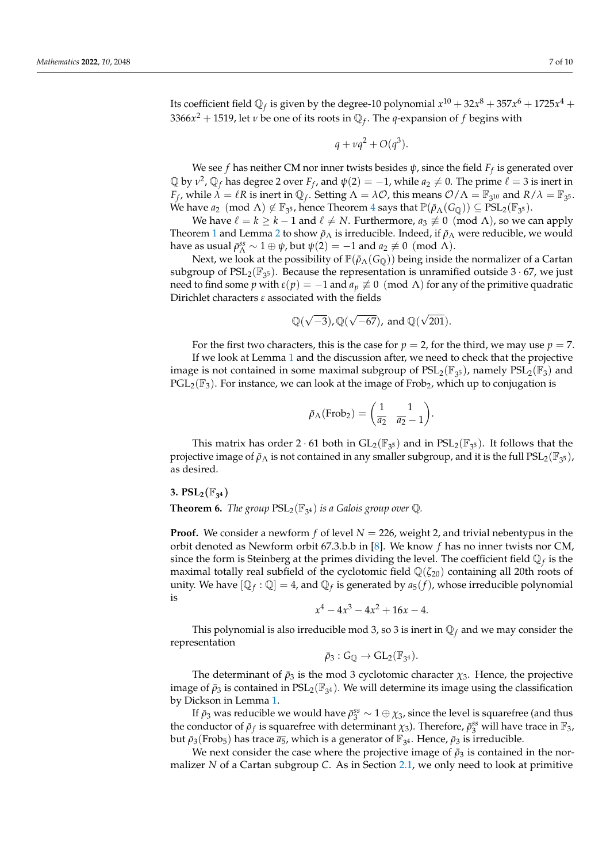Its coefficient field  $\mathbb{Q}_f$  is given by the degree-10 polynomial  $x^{10} + 32x^8 + 357x^6 + 1725x^4 +$ 3366*x* <sup>2</sup> + 1519, let *<sup>ν</sup>* be one of its roots in Q*<sup>f</sup>* . The *q*-expansion of *f* begins with

$$
q + \nu q^2 + O(q^3).
$$

We see *f* has neither CM nor inner twists besides *ψ*, since the field *F<sup>f</sup>* is generated over  $\mathbb Q$  by  $v^2$ ,  $\mathbb Q_f$  has degree 2 over  $F_f$ , and  $\psi(2) = -1$ , while  $a_2 \neq 0$ . The prime  $\ell = 3$  is inert in *F<sub>f</sub>*, while  $\lambda = \ell R$  is inert in  $\mathbb{Q}_f$ . Setting  $\Lambda = \lambda \mathcal{O}$ , this means  $\mathcal{O}/\Lambda = \mathbb{F}_{3^{10}}$  and  $R/\lambda = \mathbb{F}_{3^5}$ . We have  $a_2 \pmod{\Lambda} \not\in \mathbb{F}_{3^5}$ , hence Theorem [4](#page-2-0) says that  $\mathbb{P}(\bar{\rho}_{\Lambda}({G_{\mathbb{Q}}})) \subseteq \mathrm{PSL}_2(\mathbb{F}_{3^5})$ .

We have  $\ell = k \geq k - 1$  and  $\ell \neq N$ . Furthermore,  $a_3 \not\equiv 0 \pmod{\Lambda}$ , so we can apply Theorem [1](#page-1-3) and Lemma [2](#page-3-0) to show  $\bar{p}_{\Lambda}$  is irreducible. Indeed, if  $\bar{p}_{\Lambda}$  were reducible, we would have as usual  $\bar{p}_{\Lambda}^{ss} \sim 1 \oplus \psi$ , but  $\psi(2) = -1$  and  $a_2 \not\equiv 0 \pmod{\Lambda}$ .

Next, we look at the possibility of  $\mathbb{P}(\bar{\rho}_{\Lambda}(G_{\mathbb{Q}}))$  being inside the normalizer of a Cartan subgroup of  $PSL_2(\mathbb{F}_{3^5})$ . Because the representation is unramified outside 3  $\cdot$  67, we just need to find some *p* with  $ε(p) = −1$  and  $a_p ≠ 0 \pmod{Λ}$  for any of the primitive quadratic Dirichlet characters *ε* associated with the fields

$$
\mathbb{Q}(\sqrt{-3}), \mathbb{Q}(\sqrt{-67}), \text{ and } \mathbb{Q}(\sqrt{201}).
$$

For the first two characters, this is the case for  $p = 2$ , for the third, we may use  $p = 7$ . If we look at Lemma [1](#page-2-1) and the discussion after, we need to check that the projective image is not contained in some maximal subgroup of  $PSL_2(\mathbb{F}_{3^5})$ , namely  $PSL_2(\mathbb{F}_3)$  and  $PGL_2(\mathbb{F}_3)$ . For instance, we can look at the image of Frob<sub>2</sub>, which up to conjugation is

$$
\bar{\rho}_{\Lambda}(\text{Frob}_2) = \begin{pmatrix} 1 & 1 \\ \overline{a_2} & \overline{a_2} - 1 \end{pmatrix}.
$$

This matrix has order 2  $\cdot$  61 both in  $GL_2(\mathbb{F}_{3^5})$  and in  $PSL_2(\mathbb{F}_{3^5})$ . It follows that the projective image of  $\bar{\rho}_{\Lambda}$  is not contained in any smaller subgroup, and it is the full  $PSL_2(\mathbb{F}_{3^5})$ , as desired.

### **3.**  $PSL_2(\mathbb{F}_{3^4})$

## **Theorem 6.** *The group*  $PSL_2(\mathbb{F}_{3^4})$  *is a Galois group over*  $\mathbb{Q}$ *.*

**Proof.** We consider a newform *f* of level *N* = 226, weight 2, and trivial nebentypus in the orbit denoted as Newform orbit 67.3.b.b in [\[8\]](#page-9-5). We know *f* has no inner twists nor CM, since the form is Steinberg at the primes dividing the level. The coefficient field  $\mathbb{Q}_f$  is the maximal totally real subfield of the cyclotomic field  $\mathbb{Q}(\zeta_{20})$  containing all 20th roots of unity. We have  $[\mathbb{Q}_f : \mathbb{Q}] = 4$ , and  $\mathbb{Q}_f$  is generated by  $a_5(f)$ , whose irreducible polynomial is

$$
x^4 - 4x^3 - 4x^2 + 16x - 4.
$$

This polynomial is also irreducible mod 3, so 3 is inert in  $\mathbb{Q}_f$  and we may consider the representation

$$
\bar{\rho}_3:G_{\mathbb{Q}}\to GL_2(\mathbb{F}_{3^4}).
$$

The determinant of  $\bar{\rho}_3$  is the mod 3 cyclotomic character  $\chi_3$ . Hence, the projective image of  $\bar{\rho}_3$  is contained in  $PSL_2(\mathbb{F}_{3^4})$ . We will determine its image using the classification by Dickson in Lemma [1.](#page-2-1)

If  $\bar{\rho}_3$  was reducible we would have  $\bar{\rho}_3^{ss} \sim 1 \oplus \chi_3$ , since the level is squarefree (and thus the conductor of  $\bar{\rho}_f$  is squarefree with determinant  $\chi_3$ ). Therefore,  $\bar{\rho}_3^{ss}$  will have trace in  $\mathbb{F}_3$ , but  $\bar{\rho}_3$ (Frob<sub>5</sub>) has trace  $\bar{a_5}$ , which is a generator of  $\mathbb{F}_{3^4}$ . Hence,  $\bar{\rho}_3$  is irreducible.

We next consider the case where the projective image of  $\bar{\rho}_3$  is contained in the normalizer *N* of a Cartan subgroup *C*. As in Section [2.1,](#page-2-2) we only need to look at primitive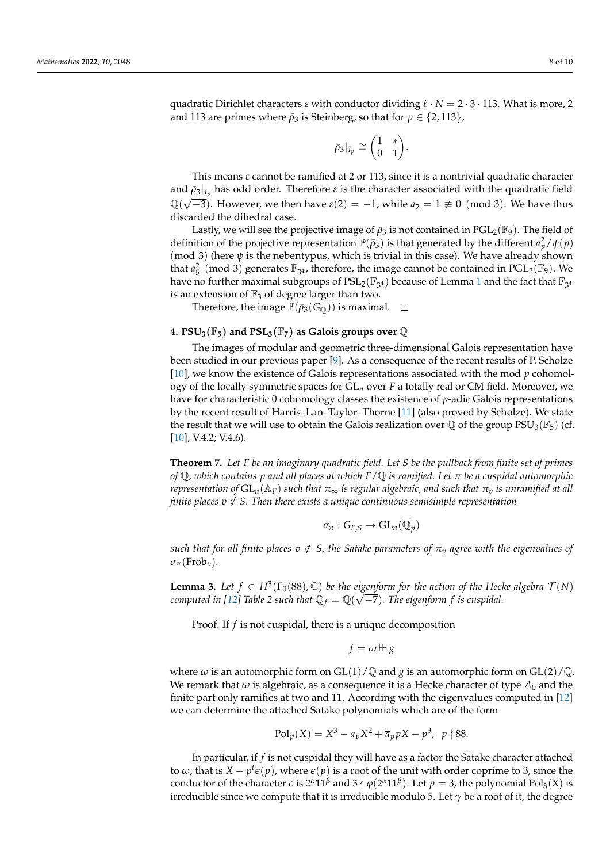quadratic Dirichlet characters  $\varepsilon$  with conductor dividing  $\ell \cdot N = 2 \cdot 3 \cdot 113$ . What is more, 2 and 113 are primes where  $\bar{\rho}_3$  is Steinberg, so that for  $p \in \{2, 113\}$ ,

$$
\bar\rho_3|_{I_p}\cong\binom{1\quad *}{0\quad 1}.
$$

This means *ε* cannot be ramified at 2 or 113, since it is a nontrivial quadratic character and  $\bar{\rho}_3|_{I_p}$  has odd order. Therefore  $\varepsilon$  is the character associated with the quadratic field  $\mathbb{Q}(\sqrt{-3})$ . However, we then have  $\varepsilon(2) = -1$ , while  $a_2 = 1 \not\equiv 0 \pmod{3}$ . We have thus discarded the dihedral case.

Lastly, we will see the projective image of  $\bar{\rho}_3$  is not contained in PGL<sub>2</sub>(F<sub>9</sub>). The field of definition of the projective representation  $\mathbb{P}(\bar{\rho}_3)$  is that generated by the different  $a_p^2/\psi(p)$ (mod 3) (here *ψ* is the nebentypus, which is trivial in this case). We have already shown that  $a_5^2 \pmod{3}$  generates  $\mathbb{F}_{3^4}$ , therefore, the image cannot be contained in PGL<sub>2</sub>( $\mathbb{F}_9$ ). We have no further maximal subgroups of  $\text{PSL}_2(\mathbb{F}_{3^4})$  because of Lemma [1](#page-2-1) and the fact that  $\mathbb{F}_{3^4}$ is an extension of  $\mathbb{F}_3$  of degree larger than two.

Therefore, the image  $\mathbb{P}(\bar{\rho}_3(G_{\mathbb{Q}}))$  is maximal.  $\Box$ 

### **4. PSU**<sub>3</sub>( $\mathbb{F}_5$ ) and PSL<sub>3</sub>( $\mathbb{F}_7$ ) as Galois groups over  $\mathbb{Q}$

The images of modular and geometric three-dimensional Galois representation have been studied in our previous paper [\[9\]](#page-9-6). As a consequence of the recent results of P. Scholze [\[10\]](#page-9-7), we know the existence of Galois representations associated with the mod *p* cohomology of the locally symmetric spaces for GL*<sup>n</sup>* over *F* a totally real or CM field. Moreover, we have for characteristic 0 cohomology classes the existence of *p*-adic Galois representations by the recent result of Harris–Lan–Taylor–Thorne [\[11\]](#page-9-8) (also proved by Scholze). We state the result that we will use to obtain the Galois realization over  $\mathbb Q$  of the group  $PSU_3(\mathbb F_5)$  (cf. [\[10\]](#page-9-7), V.4.2; V.4.6).

**Theorem 7.** *Let F be an imaginary quadratic field. Let S be the pullback from finite set of primes of* Q*, which contains p and all places at which F*/Q *is ramified. Let π be a cuspidal automorphic representation of*  $GL_n(\mathbb{A}_F)$  *such that*  $\pi_{\infty}$  *is regular algebraic, and such that*  $\pi_n$  *is unramified at all finite places v*  $\notin$  *S. Then there exists a unique continuous semisimple representation* 

$$
\sigma_{\pi}:G_{F,S}\to\mathrm{GL}_n(\overline{\mathbb{Q}}_p)
$$

*such that for all finite places*  $v \notin S$ , the Satake parameters of  $\pi_v$  agree with the eigenvalues of  $\sigma_{\pi}$ (Frob<sub>*v*</sub>).

**Lemma 3.** Let  $f \in H^3(\Gamma_0(88), \mathbb{C})$  be the eigenform for the action of the Hecke algebra  $\mathcal{T}(N)$ *computed in [\[12\]](#page-9-9) Table 2 such that*  $\mathbb{Q}_f = \mathbb{Q}(\sqrt{-7})$ *. The eigenform f is cuspidal.* 

Proof. If *f* is not cuspidal, there is a unique decomposition

$$
f = \omega \boxplus g
$$

where  $\omega$  is an automorphic form on GL(1)/Q and *g* is an automorphic form on GL(2)/Q. We remark that  $\omega$  is algebraic, as a consequence it is a Hecke character of type  $A_0$  and the finite part only ramifies at two and 11. According with the eigenvalues computed in [\[12\]](#page-9-9) we can determine the attached Satake polynomials which are of the form

$$
Pol_p(X) = X^3 - a_p X^2 + \overline{a}_p pX - p^3, \ p \nmid 88.
$$

In particular, if *f* is not cuspidal they will have as a factor the Satake character attached to  $\omega$ , that is  $X - p^t \epsilon(p)$ , where  $\epsilon(p)$  is a root of the unit with order coprime to 3, since the conductor of the character  $\epsilon$  is  $2^{\alpha}11^{\beta}$  and  $3 \nmid \varphi(2^{\alpha}11^{\beta})$ . Let  $p = 3$ , the polynomial Pol<sub>3</sub>(X) is irreducible since we compute that it is irreducible modulo 5. Let  $\gamma$  be a root of it, the degree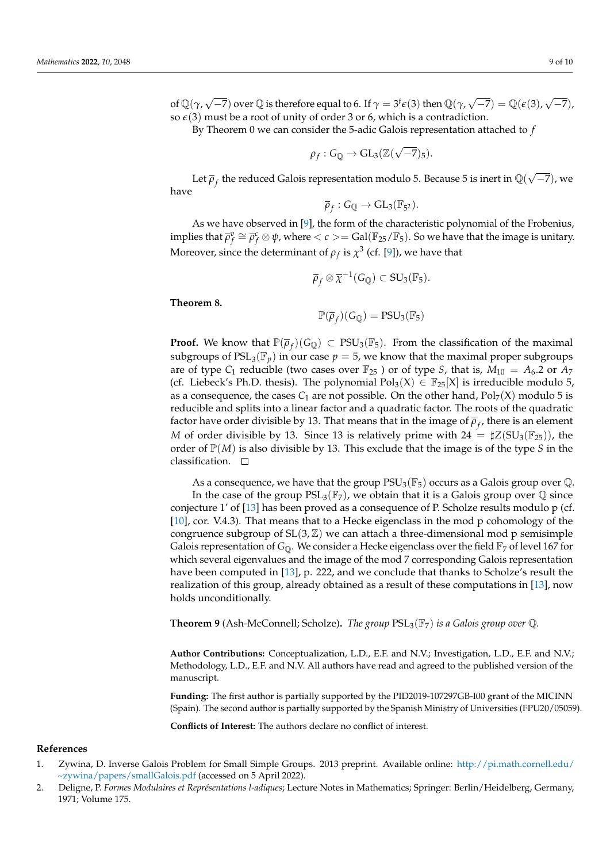of  $\mathbb{Q}(\gamma,\sqrt{-7})$  over  $\mathbb{Q}$  is therefore equal to 6. If  $\gamma=3^t\epsilon(3)$  then  $\mathbb{Q}(\gamma,\sqrt{-7})=\mathbb{Q}(\epsilon(3),\sqrt{2})$ −7), so  $\epsilon(3)$  must be a root of unity of order 3 or 6, which is a contradiction.

By Theorem 0 we can consider the 5-adic Galois representation attached to *f*

$$
\rho_f: G_{\mathbb{Q}} \to GL_3(\mathbb{Z}(\sqrt{-7})_5).
$$

Let  $\bar{\rho}_f$  the reduced Galois representation modulo 5. Because 5 is inert in  $\mathbb{Q}(\sqrt{2})$ −7), we have

$$
\overline{\rho}_f: G_{\mathbb{Q}} \to GL_3(\mathbb{F}_{5^2}).
$$

As we have observed in [\[9\]](#page-9-6), the form of the characteristic polynomial of the Frobenius, implies that  $\overline{\rho}_f^v \cong \overline{\rho}_f^c \otimes \psi$ , where  $< c > = \text{Gal}(\mathbb{F}_{25}/\mathbb{F}_5)$ . So we have that the image is unitary. Moreover, since the determinant of  $\rho_f$  is  $\chi^3$  (cf. [\[9\]](#page-9-6)), we have that

$$
\overline{\rho}_f \otimes \overline{\chi}^{-1}(G_{\mathbb{Q}}) \subset SU_3(\mathbb{F}_5).
$$

#### **Theorem 8.**

$$
\mathbb{P}(\overline{\rho}_f)(G_{\mathbb{Q}}) = \mathrm{PSU}_3(\mathbb{F}_5)
$$

**Proof.** We know that  $\mathbb{P}(\overline{\rho}_f)(G_{\mathbb{Q}}) \subset \text{PSU}_3(\mathbb{F}_5)$ . From the classification of the maximal subgroups of  $PSL_3(\mathbb{F}_p)$  in our case  $p = 5$ , we know that the maximal proper subgroups are of type  $C_1$  reducible (two cases over  $\mathbb{F}_{25}$ ) or of type *S*, that is,  $M_{10} = A_6.2$  or  $A_7$ (cf. Liebeck's Ph.D. thesis). The polynomial  $Pol_3(X) \in \mathbb{F}_{25}[X]$  is irreducible modulo 5, as a consequence, the cases  $C_1$  are not possible. On the other hand,  $Pol_7(X)$  modulo 5 is reducible and splits into a linear factor and a quadratic factor. The roots of the quadratic factor have order divisible by 13. That means that in the image of  $\overline{\rho}_f$ , there is an element *M* of order divisible by 13. Since 13 is relatively prime with  $24 = \sharp Z(SU_3(\mathbb{F}_{25}))$ , the order of  $\mathbb{P}(M)$  is also divisible by 13. This exclude that the image is of the type *S* in the classification.  $\square$ 

As a consequence, we have that the group  $PSU_3(\mathbb{F}_5)$  occurs as a Galois group over  $\mathbb Q$ . In the case of the group  $PSL_3(\mathbb{F}_7)$ , we obtain that it is a Galois group over  $\mathbb Q$  since conjecture 1' of [\[13\]](#page-9-10) has been proved as a consequence of P. Scholze results modulo p (cf. [\[10\]](#page-9-7), cor. V.4.3). That means that to a Hecke eigenclass in the mod p cohomology of the congruence subgroup of  $SL(3, \mathbb{Z})$  we can attach a three-dimensional mod p semisimple Galois representation of  $G_0$ . We consider a Hecke eigenclass over the field  $\mathbb{F}_7$  of level 167 for which several eigenvalues and the image of the mod 7 corresponding Galois representation have been computed in [\[13\]](#page-9-10), p. 222, and we conclude that thanks to Scholze's result the realization of this group, already obtained as a result of these computations in [\[13\]](#page-9-10), now holds unconditionally.

**Theorem 9** (Ash-McConnell; Scholze)**.** *The group* PSL3(F7) *is a Galois group over* Q*.*

**Author Contributions:** Conceptualization, L.D., E.F. and N.V.; Investigation, L.D., E.F. and N.V.; Methodology, L.D., E.F. and N.V. All authors have read and agreed to the published version of the manuscript.

**Funding:** The first author is partially supported by the PID2019-107297GB-I00 grant of the MICINN (Spain). The second author is partially supported by the Spanish Ministry of Universities (FPU20/05059).

**Conflicts of Interest:** The authors declare no conflict of interest.

#### **References**

- <span id="page-8-0"></span>1. Zywina, D. Inverse Galois Problem for Small Simple Groups. 2013 preprint. Available online: [http://pi.math.cornell.edu/](http://pi.math.cornell.edu/~zywina/papers/smallGalois.pdf) [~zywina/papers/smallGalois.pdf](http://pi.math.cornell.edu/~zywina/papers/smallGalois.pdf) (accessed on 5 April 2022).
- <span id="page-8-1"></span>2. Deligne, P. *Formes Modulaires et Représentations l-adiques*; Lecture Notes in Mathematics; Springer: Berlin/Heidelberg, Germany, 1971; Volume 175.